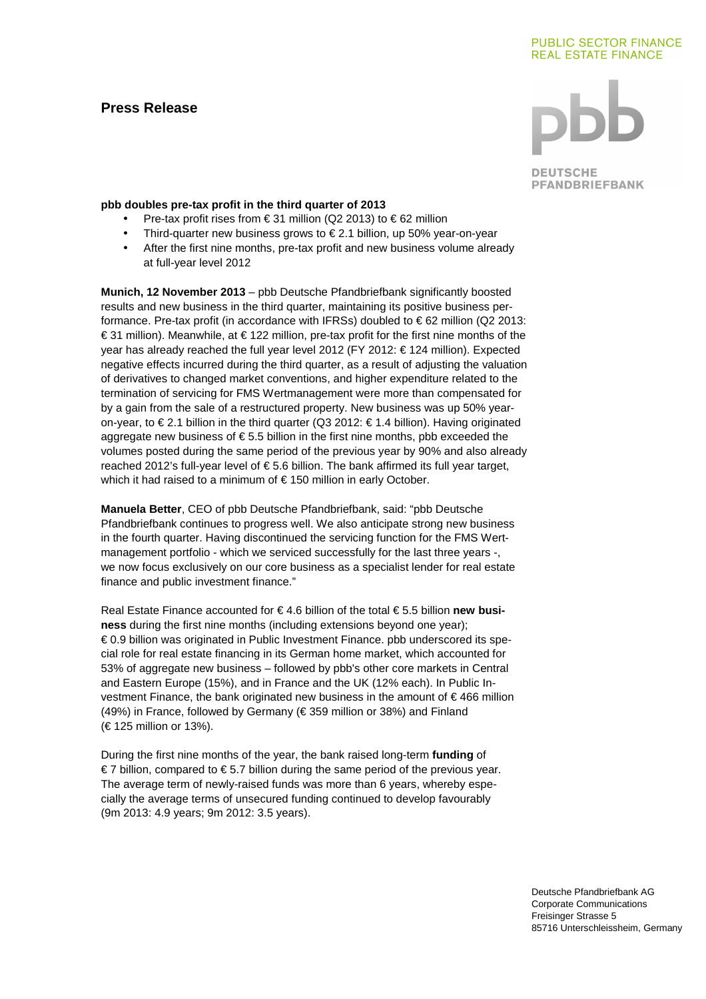# **Press Release**

## **PUBLIC SECTOR FINANCE REAL ESTATE FINANCE**

**DEUTSCHE PFANDBRIEFBANK** 

#### **pbb doubles pre-tax profit in the third quarter of 2013**

- Pre-tax profit rises from € 31 million (Q2 2013) to € 62 million
- Third-quarter new business grows to  $\epsilon$  2.1 billion, up 50% year-on-year
- After the first nine months, pre-tax profit and new business volume already at full-year level 2012

**Munich, 12 November 2013** – pbb Deutsche Pfandbriefbank significantly boosted results and new business in the third quarter, maintaining its positive business performance. Pre-tax profit (in accordance with IFRSs) doubled to € 62 million (Q2 2013: € 31 million). Meanwhile, at € 122 million, pre-tax profit for the first nine months of the year has already reached the full year level 2012 (FY 2012: € 124 million). Expected negative effects incurred during the third quarter, as a result of adjusting the valuation of derivatives to changed market conventions, and higher expenditure related to the termination of servicing for FMS Wertmanagement were more than compensated for by a gain from the sale of a restructured property. New business was up 50% yearon-year, to € 2.1 billion in the third quarter (Q3 2012: € 1.4 billion). Having originated aggregate new business of  $\epsilon$  5.5 billion in the first nine months, pbb exceeded the volumes posted during the same period of the previous year by 90% and also already reached 2012's full-year level of  $\epsilon$  5.6 billion. The bank affirmed its full year target, which it had raised to a minimum of € 150 million in early October.

**Manuela Better**, CEO of pbb Deutsche Pfandbriefbank, said: "pbb Deutsche Pfandbriefbank continues to progress well. We also anticipate strong new business in the fourth quarter. Having discontinued the servicing function for the FMS Wertmanagement portfolio - which we serviced successfully for the last three years -, we now focus exclusively on our core business as a specialist lender for real estate finance and public investment finance."

Real Estate Finance accounted for € 4.6 billion of the total € 5.5 billion **new business** during the first nine months (including extensions beyond one year); € 0.9 billion was originated in Public Investment Finance. pbb underscored its special role for real estate financing in its German home market, which accounted for 53% of aggregate new business – followed by pbb's other core markets in Central and Eastern Europe (15%), and in France and the UK (12% each). In Public Investment Finance, the bank originated new business in the amount of  $\epsilon$  466 million (49%) in France, followed by Germany ( $\in$  359 million or 38%) and Finland (€ 125 million or 13%).

During the first nine months of the year, the bank raised long-term **funding** of € 7 billion, compared to € 5.7 billion during the same period of the previous year. The average term of newly-raised funds was more than 6 years, whereby especially the average terms of unsecured funding continued to develop favourably (9m 2013: 4.9 years; 9m 2012: 3.5 years).

> Deutsche Pfandbriefbank AG Corporate Communications Freisinger Strasse 5 85716 Unterschleissheim, Germany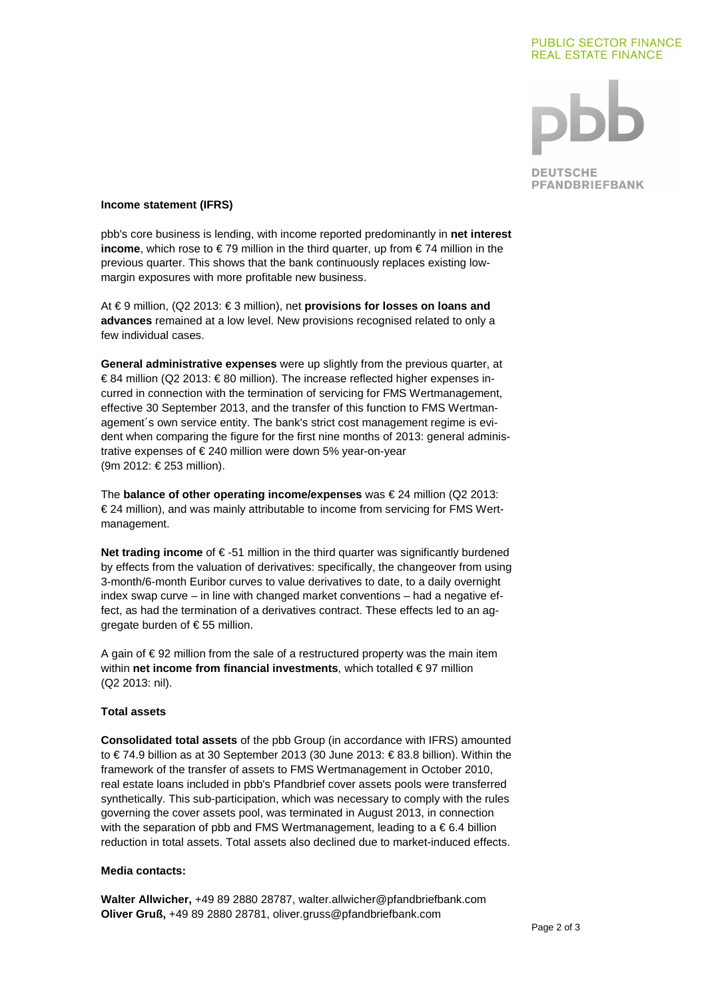#### **PUBLIC SECTOR FINANCE REAL ESTATE FINANCE**



**DEUTSCHE PFANDBRIEFBANK** 

#### **Income statement (IFRS)**

pbb's core business is lending, with income reported predominantly in **net interest income**, which rose to €79 million in the third quarter, up from €74 million in the previous quarter. This shows that the bank continuously replaces existing lowmargin exposures with more profitable new business.

At € 9 million, (Q2 2013: € 3 million), net **provisions for losses on loans and advances** remained at a low level. New provisions recognised related to only a few individual cases.

**General administrative expenses** were up slightly from the previous quarter, at € 84 million (Q2 2013: € 80 million). The increase reflected higher expenses incurred in connection with the termination of servicing for FMS Wertmanagement, effective 30 September 2013, and the transfer of this function to FMS Wertmanagement´s own service entity. The bank's strict cost management regime is evident when comparing the figure for the first nine months of 2013: general administrative expenses of € 240 million were down 5% year-on-year (9m 2012: € 253 million).

The **balance of other operating income/expenses** was € 24 million (Q2 2013: € 24 million), and was mainly attributable to income from servicing for FMS Wertmanagement.

**Net trading income** of € -51 million in the third quarter was significantly burdened by effects from the valuation of derivatives: specifically, the changeover from using 3-month/6-month Euribor curves to value derivatives to date, to a daily overnight index swap curve – in line with changed market conventions – had a negative effect, as had the termination of a derivatives contract. These effects led to an aggregate burden of  $\epsilon$  55 million.

A gain of  $\epsilon$  92 million from the sale of a restructured property was the main item within **net income from financial investments**, which totalled € 97 million (Q2 2013: nil).

### **Total assets**

**Consolidated total assets** of the pbb Group (in accordance with IFRS) amounted to € 74.9 billion as at 30 September 2013 (30 June 2013: € 83.8 billion). Within the framework of the transfer of assets to FMS Wertmanagement in October 2010, real estate loans included in pbb's Pfandbrief cover assets pools were transferred synthetically. This sub-participation, which was necessary to comply with the rules governing the cover assets pool, was terminated in August 2013, in connection with the separation of pbb and FMS Wertmanagement, leading to  $a \in \mathbf{6.4}$  billion reduction in total assets. Total assets also declined due to market-induced effects.

#### **Media contacts:**

**Walter Allwicher,** +49 89 2880 28787, walter.allwicher@pfandbriefbank.com **Oliver Gruß,** +49 89 2880 28781, oliver.gruss@pfandbriefbank.com